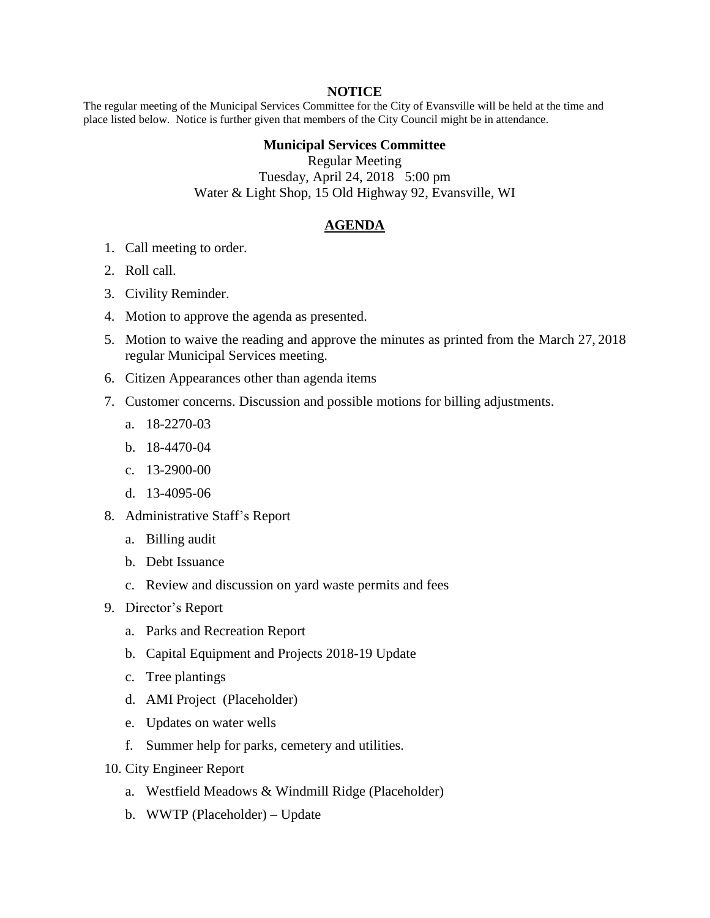## **NOTICE**

The regular meeting of the Municipal Services Committee for the City of Evansville will be held at the time and place listed below. Notice is further given that members of the City Council might be in attendance.

## **Municipal Services Committee**

Regular Meeting Tuesday, April 24, 2018 5:00 pm Water & Light Shop, 15 Old Highway 92, Evansville, WI

## **AGENDA**

- 1. Call meeting to order.
- 2. Roll call.
- 3. Civility Reminder.
- 4. Motion to approve the agenda as presented.
- 5. Motion to waive the reading and approve the minutes as printed from the March 27, 2018 regular Municipal Services meeting.
- 6. Citizen Appearances other than agenda items
- 7. Customer concerns. Discussion and possible motions for billing adjustments.
	- a. 18-2270-03
	- b. 18-4470-04
	- c. 13-2900-00
	- d. 13-4095-06
- 8. Administrative Staff's Report
	- a. Billing audit
	- b. Debt Issuance
	- c. Review and discussion on yard waste permits and fees
- 9. Director's Report
	- a. Parks and Recreation Report
	- b. Capital Equipment and Projects 2018-19 Update
	- c. Tree plantings
	- d. AMI Project (Placeholder)
	- e. Updates on water wells
	- f. Summer help for parks, cemetery and utilities.
- 10. City Engineer Report
	- a. Westfield Meadows & Windmill Ridge (Placeholder)
	- b. WWTP (Placeholder) Update